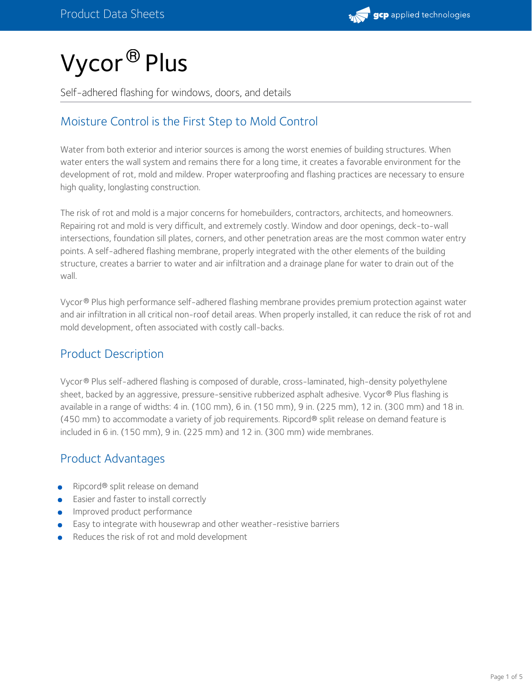# Vycor® Plus

Self-adhered flashing for windows, doors, and details

## Moisture Control is the First Step to Mold Control

Water from both exterior and interior sources is among the worst enemies of building structures. When water enters the wall system and remains there for a long time, it creates a favorable environment for the development of rot, mold and mildew. Proper waterproofing and flashing practices are necessary to ensure high quality, longlasting construction.

The risk of rot and mold is a major concerns for homebuilders, contractors, architects, and homeowners. Repairing rot and mold is very difficult, and extremely costly. Window and door openings, deck-to-wall intersections, foundation sill plates, corners, and other penetration areas are the most common water entry points. A self-adhered flashing membrane, properly integrated with the other elements of the building structure, creates a barrier to water and air infiltration and a drainage plane for water to drain out of the wall.

Vycor ® Plus high performance self-adhered flashing membrane provides premium protection against water and air infiltration in all critical non-roof detail areas. When properly installed, it can reduce the risk of rot and mold development, often associated with costly call-backs.

## Product Description

Vycor® Plus self-adhered flashing is composed of durable, cross-laminated, high-density polyethylene sheet, backed by an aggressive, pressure-sensitive rubberized asphalt adhesive. Vycor® Plus flashing is available in a range of widths: 4 in. (100 mm), 6 in. (150 mm), 9 in. (225 mm), 12 in. (300 mm) and 18 in. (450 mm) to accommodate a variety of job requirements. Ripcord® split release on demand feature is included in 6 in. (150 mm), 9 in. (225 mm) and 12 in. (300 mm) wide membranes.

## Product Advantages

- Ripcord® split release on demand
- Easier and faster to install correctly
- Improved product performance
- Easy to integrate with housewrap and other weather-resistive barriers
- Reduces the risk of rot and mold development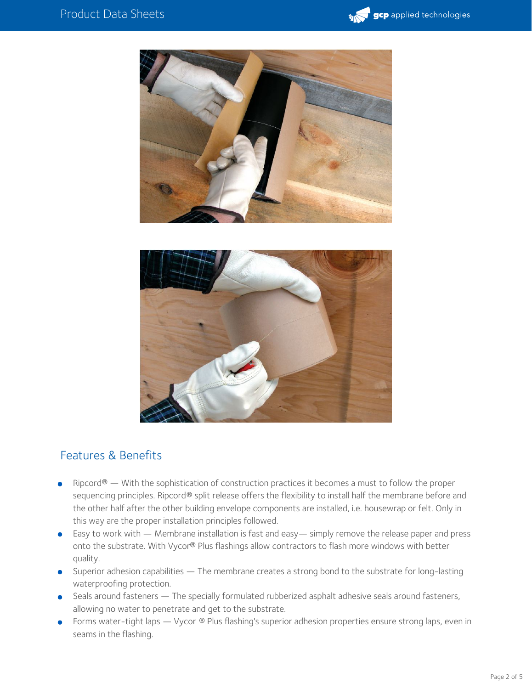





## Features & Benefits

- Ripcord® With the sophistication of construction practices it becomes a must to follow the proper sequencing principles. Ripcord® split release offers the flexibility to install half the membrane before and the other half after the other building envelope components are installed, i.e. housewrap or felt. Only in this way are the proper installation principles followed.
- Easy to work with Membrane installation is fast and easy— simply remove the release paper and press onto the substrate. With Vycor® Plus flashings allow contractors to flash more windows with better quality.
- Superior adhesion capabilities The membrane creates a strong bond to the substrate for long-lasting waterproofing protection.
- Seals around fasteners The specially formulated rubberized asphalt adhesive seals around fasteners, allowing no water to penetrate and get to the substrate.
- Forms water-tight laps Vycor ® Plus flashing's superior adhesion properties ensure strong laps, even in seams in the flashing.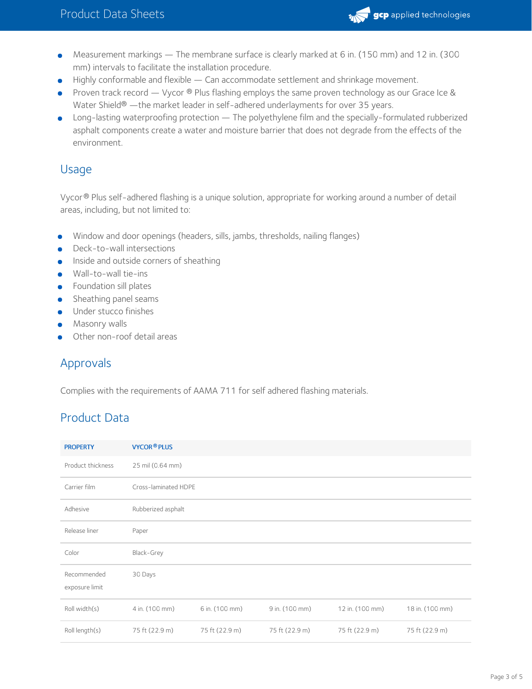

- Measurement markings The membrane surface is clearly marked at 6 in. (150 mm) and 12 in. (300  $\bullet$ mm) intervals to facilitate the installation procedure.
- Highly conformable and flexible Can accommodate settlement and shrinkage movement.
- Proven track record Vycor ® Plus flashing employs the same proven technology as our Grace Ice & Water Shield® —the market leader in self-adhered underlayments for over 35 years.
- Long-lasting waterproofing protection The polyethylene film and the specially-formulated rubberized asphalt components create a water and moisture barrier that does not degrade from the effects of the environment.

#### Usage

Vycor® Plus self-adhered flashing is a unique solution, appropriate for working around a number of detail areas, including, but not limited to:

- Window and door openings (headers, sills, jambs, thresholds, nailing flanges)
- Deck-to-wall intersections
- **Inside and outside corners of sheathing**
- Wall-to-wall tie-ins
- **•** Foundation sill plates
- **•** Sheathing panel seams
- **Under stucco finishes**
- **Masonry walls**
- Other non-roof detail areas

## Approvals

Complies with the requirements of AAMA 711 for self adhered flashing materials.

## Product Data

| <b>PROPERTY</b>               | <b>VYCOR®PLUS</b>    |                |                |                 |                 |  |  |  |
|-------------------------------|----------------------|----------------|----------------|-----------------|-----------------|--|--|--|
| Product thickness             | 25 mil (0.64 mm)     |                |                |                 |                 |  |  |  |
| Carrier film                  | Cross-laminated HDPE |                |                |                 |                 |  |  |  |
| Adhesive                      | Rubberized asphalt   |                |                |                 |                 |  |  |  |
| Release liner                 | Paper                |                |                |                 |                 |  |  |  |
| Color                         | Black-Grey           |                |                |                 |                 |  |  |  |
| Recommended<br>exposure limit | 30 Days              |                |                |                 |                 |  |  |  |
| Roll width(s)                 | 4 in. (100 mm)       | 6 in. (100 mm) | 9 in. (100 mm) | 12 in. (100 mm) | 18 in. (100 mm) |  |  |  |
| Roll length(s)                | 75 ft (22.9 m)       | 75 ft (22.9 m) | 75 ft (22.9 m) | 75 ft (22.9 m)  | 75 ft (22.9 m)  |  |  |  |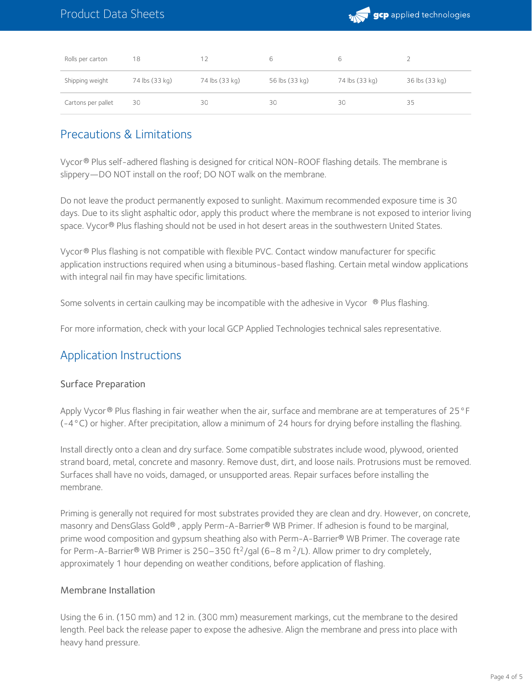

| Rolls per carton   | 18             | 12             | 6              |                |                |
|--------------------|----------------|----------------|----------------|----------------|----------------|
| Shipping weight    | 74 lbs (33 kg) | 74 lbs (33 kg) | 56 lbs (33 kg) | 74 lbs (33 kg) | 36 lbs (33 kg) |
| Cartons per pallet | 30             | 30             | 30             | 30             | 35             |

#### Precautions & Limitations

Vycor® Plus self-adhered flashing is designed for critical NON-ROOF flashing details. The membrane is slippery—DO NOT install on the roof; DO NOT walk on the membrane.

Do not leave the product permanently exposed to sunlight. Maximum recommended exposure time is 30 days. Due to its slight asphaltic odor, apply this product where the membrane is not exposed to interior living  $\mathsf{space}$  . Vycor® Plus flashing should not be used in hot desert areas in the southwestern United States.

Vycor ® Plus flashing is not compatible with flexible PVC. Contact window manufacturer for specific application instructions required when using a bituminous-based flashing. Certain metal window applications with integral nail fin may have specific limitations.

Some solvents in certain caulking may be incompatible with the adhesive in Vycor  $\,^{\circledR}$  Plus flashing.

For more information, check with your local GCP Applied Technologies technical sales representative.

#### Application Instructions

#### Surface Preparation

Apply Vycor® Plus flashing in fair weather when the air, surface and membrane are at temperatures of 25 °F (-4°C) or higher. After precipitation, allow a minimum of 24 hours for drying before installing the flashing.

Install directly onto a clean and dry surface. Some compatible substrates include wood, plywood, oriented strand board, metal, concrete and masonry. Remove dust, dirt, and loose nails. Protrusions must be removed. Surfaces shall have no voids, damaged, or unsupported areas. Repair surfaces before installing the membrane.

Priming is generally not required for most substrates provided they are clean and dry. However, on concrete, masonry and DensGlass Gold® , apply Perm-A-Barrier® WB Primer. If adhesion is found to be marginal, prime wood composition and gypsum sheathing also with Perm-A-Barrier® WB Primer. The coverage rate for Perm-A-Barrier® WB Primer is 250–350 ft<sup>2</sup>/gal (6–8 m <sup>2</sup>/L). Allow primer to dry completely, approximately 1 hour depending on weather conditions, before application of flashing.

#### Membrane Installation

Using the 6 in. (150 mm) and 12 in. (300 mm) measurement markings, cut the membrane to the desired length. Peel back the release paper to expose the adhesive. Align the membrane and press into place with heavy hand pressure.